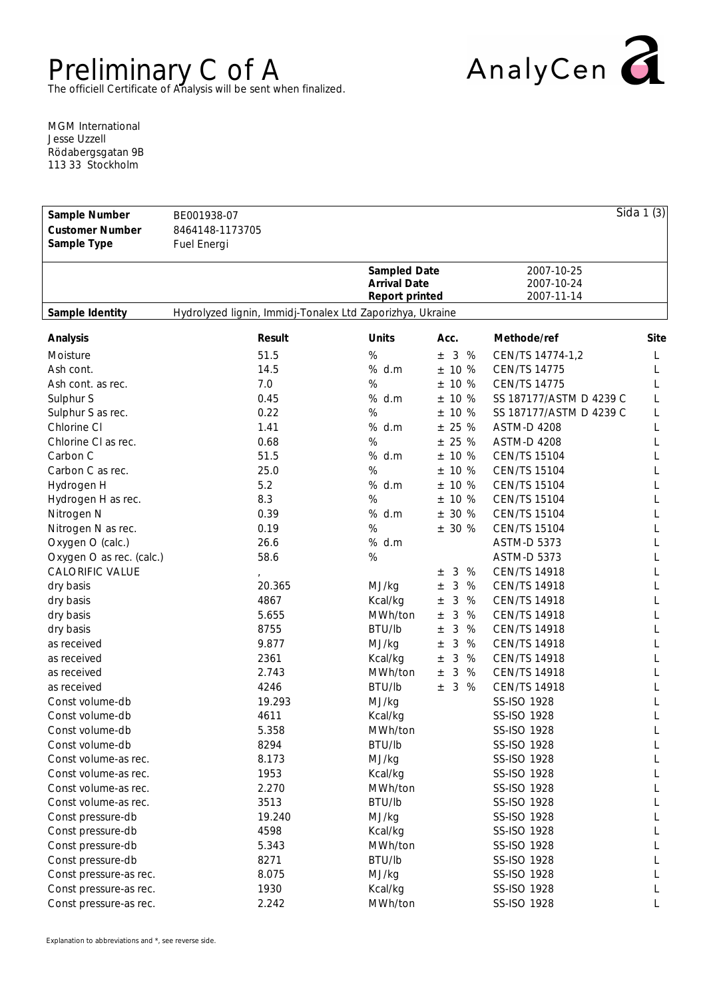## Preliminary C of A The officiell Certificate of Analysis will be sent when finalized.



MGM International Jesse Uzzell Rödabergsgatan 9B 113 33 Stockholm

| Sample Number            | BE001938-07                                               |                                       |                 |                          | Sida $1(3)$ |
|--------------------------|-----------------------------------------------------------|---------------------------------------|-----------------|--------------------------|-------------|
| <b>Customer Number</b>   | 8464148-1173705                                           |                                       |                 |                          |             |
| Sample Type              | Fuel Energi                                               |                                       |                 |                          |             |
|                          |                                                           |                                       |                 |                          |             |
|                          |                                                           | Sampled Date                          |                 | 2007-10-25               |             |
|                          |                                                           | <b>Arrival Date</b><br>Report printed |                 | 2007-10-24<br>2007-11-14 |             |
|                          |                                                           |                                       |                 |                          |             |
| Sample Identity          | Hydrolyzed lignin, Immidj-Tonalex Ltd Zaporizhya, Ukraine |                                       |                 |                          |             |
| Analysis                 | Result                                                    | Units                                 | Acc.            | Methode/ref              | Site        |
| Moisture                 | 51.5                                                      | $\%$                                  | 3<br>%<br>$\pm$ | CEN/TS 14774-1,2         | L           |
| Ash cont.                | 14.5                                                      | %<br>d.m                              | 10 %<br>$\pm$   | <b>CEN/TS 14775</b>      | L           |
| Ash cont. as rec.        | 7.0                                                       | $\%$                                  | 10 %<br>$\pm$   | <b>CEN/TS 14775</b>      | L           |
| Sulphur S                | 0.45                                                      | %<br>d.m                              | 10 %<br>$\pm$   | SS 187177/ASTM D 4239 C  | L           |
| Sulphur S as rec.        | 0.22                                                      | $\%$                                  | 10 %<br>$\pm$   | SS 187177/ASTM D 4239 C  | L           |
| Chlorine CI              | 1.41                                                      | %<br>d.m                              | 25 %<br>$\pm$   | <b>ASTM-D 4208</b>       | L           |
| Chlorine CI as rec.      | 0.68                                                      | $\%$                                  | 25 %<br>$\pm$   | <b>ASTM-D 4208</b>       | L           |
| Carbon C                 | 51.5                                                      | %<br>d.m                              | 10 %<br>$\pm$   | <b>CEN/TS 15104</b>      | L           |
| Carbon C as rec.         | 25.0                                                      | %                                     | 10 %<br>$\pm$   | <b>CEN/TS 15104</b>      | L           |
| Hydrogen H               | 5.2                                                       | %<br>d.m                              | 10 %<br>$\pm$   | <b>CEN/TS 15104</b>      | L           |
| Hydrogen H as rec.       | 8.3                                                       | %                                     | 10 %<br>$\pm$   | <b>CEN/TS 15104</b>      | L           |
| Nitrogen N               | 0.39                                                      | %<br>d.m                              | 30 %<br>$\pm$   | <b>CEN/TS 15104</b>      | L           |
| Nitrogen N as rec.       | 0.19                                                      | %                                     | 30 %<br>$\pm$   | <b>CEN/TS 15104</b>      | L           |
| Oxygen O (calc.)         | 26.6                                                      | % d.m                                 |                 | <b>ASTM-D 5373</b>       | L           |
| Oxygen O as rec. (calc.) | 58.6                                                      | %                                     |                 | <b>ASTM-D 5373</b>       | L           |
| <b>CALORIFIC VALUE</b>   |                                                           |                                       | 3<br>%          | <b>CEN/TS 14918</b>      | L           |
|                          | 20.365                                                    |                                       | $\pm$<br>%      | <b>CEN/TS 14918</b>      |             |
| dry basis                | 4867                                                      | MJ/kg                                 | 3<br>$\pm$      | <b>CEN/TS 14918</b>      | L           |
| dry basis                |                                                           | Kcal/kg                               | 3<br>%<br>$\pm$ |                          | L           |
| dry basis                | 5.655                                                     | MWh/ton                               | 3<br>%<br>$\pm$ | <b>CEN/TS 14918</b>      | L           |
| dry basis                | 8755                                                      | BTU/lb                                | 3<br>%<br>$\pm$ | <b>CEN/TS 14918</b>      | L           |
| as received              | 9.877                                                     | MJ/kg                                 | 3<br>%<br>$\pm$ | <b>CEN/TS 14918</b>      | L           |
| as received              | 2361                                                      | Kcal/kg                               | 3<br>%<br>$\pm$ | <b>CEN/TS 14918</b>      | L           |
| as received              | 2.743                                                     | MWh/ton                               | 3<br>%<br>$\pm$ | <b>CEN/TS 14918</b>      | L           |
| as received              | 4246                                                      | BTU/lb                                | 3<br>%<br>$\pm$ | <b>CEN/TS 14918</b>      | L           |
| Const volume-db          | 19.293                                                    | MJ/kg                                 |                 | <b>SS-ISO 1928</b>       | L           |
| Const volume-db          | 4611                                                      | Kcal/kg                               |                 | SS-ISO 1928              | L           |
| Const volume-db          | 5.358                                                     | MWh/ton                               |                 | <b>SS-ISO 1928</b>       |             |
| Const volume-db          | 8294                                                      | BTU/lb                                |                 | SS-ISO 1928              |             |
| Const volume-as rec.     | 8.173                                                     | MJ/kg                                 |                 | SS-ISO 1928              |             |
| Const volume-as rec.     | 1953                                                      | Kcal/kg                               |                 | SS-ISO 1928              |             |
| Const volume-as rec.     | 2.270                                                     | MWh/ton                               |                 | SS-ISO 1928              |             |
| Const volume-as rec.     | 3513                                                      | BTU/lb                                |                 | SS-ISO 1928              |             |
| Const pressure-db        | 19.240                                                    | MJ/kg                                 |                 | SS-ISO 1928              |             |
| Const pressure-db        | 4598                                                      | Kcal/kg                               |                 | SS-ISO 1928              |             |
| Const pressure-db        | 5.343                                                     | MWh/ton                               |                 | SS-ISO 1928              |             |
| Const pressure-db        | 8271                                                      | BTU/lb                                |                 | SS-ISO 1928              |             |
| Const pressure-as rec.   | 8.075                                                     | MJ/kg                                 |                 | SS-ISO 1928              |             |
| Const pressure-as rec.   | 1930                                                      | Kcal/kg                               |                 | SS-ISO 1928              |             |
| Const pressure-as rec.   | 2.242                                                     | MWh/ton                               |                 | SS-ISO 1928              |             |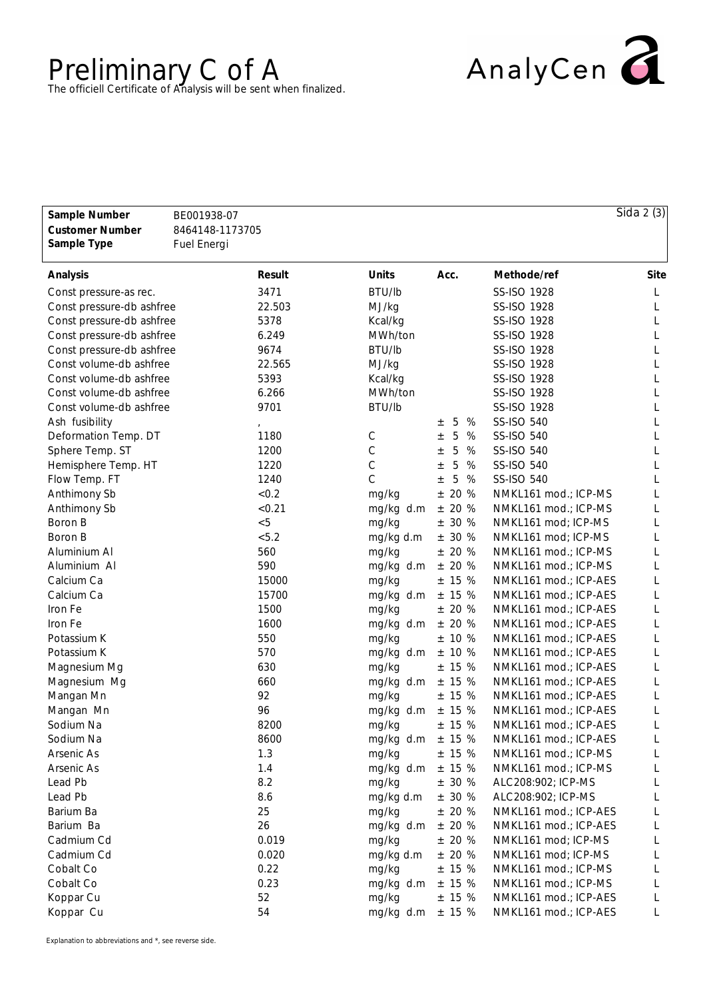## Preliminary C of A<br>The officiell Certificate of Analysis will be sent when finalized.



| Sample Number<br><b>Customer Number</b><br>Sample Type | BE001938-07<br>8464148-1173705<br>Fuel Energi |              |                 |                       | $\overline{S}$ ida 2 $(3)$ |
|--------------------------------------------------------|-----------------------------------------------|--------------|-----------------|-----------------------|----------------------------|
| Analysis                                               | Result                                        | Units        | Acc.            | Methode/ref           | Site                       |
| Const pressure-as rec.                                 | 3471                                          | BTU/lb       |                 | SS-ISO 1928           | L                          |
| Const pressure-db ashfree                              | 22.503                                        | MJ/kg        |                 | SS-ISO 1928           | L                          |
| Const pressure-db ashfree                              | 5378                                          | Kcal/kg      |                 | SS-ISO 1928           |                            |
| Const pressure-db ashfree                              | 6.249                                         | MWh/ton      |                 | SS-ISO 1928           |                            |
| Const pressure-db ashfree                              | 9674                                          | BTU/lb       |                 | SS-ISO 1928           |                            |
| Const volume-db ashfree                                | 22.565                                        | MJ/kg        |                 | SS-ISO 1928           |                            |
| Const volume-db ashfree                                | 5393                                          | Kcal/kg      |                 | SS-ISO 1928           |                            |
| Const volume-db ashfree                                | 6.266                                         | MWh/ton      |                 | SS-ISO 1928           |                            |
| Const volume-db ashfree                                | 9701                                          | BTU/lb       |                 | SS-ISO 1928           |                            |
| Ash fusibility                                         |                                               |              | %<br>5<br>士     | SS-ISO 540            |                            |
| Deformation Temp. DT                                   | 1180                                          | $\mathsf C$  | 5<br>%<br>$\pm$ | SS-ISO 540            |                            |
| Sphere Temp. ST                                        | 1200                                          | $\mathsf C$  | 5<br>%<br>$\pm$ | SS-ISO 540            |                            |
| Hemisphere Temp. HT                                    | 1220                                          | $\mathsf C$  | 5<br>%<br>$\pm$ | SS-ISO 540            |                            |
| Flow Temp. FT                                          | 1240                                          | $\mathsf{C}$ | 5<br>%<br>$\pm$ | SS-ISO 540            |                            |
| Anthimony Sb                                           | < 0.2                                         | mg/kg        | 20 %<br>$\pm$   | NMKL161 mod.; ICP-MS  |                            |
| Anthimony Sb                                           | < 0.21                                        | mg/kg d.m    | ± 20%           | NMKL161 mod.; ICP-MS  | L                          |
| Boron B                                                | < 5                                           | mg/kg        | ± 30 %          | NMKL161 mod; ICP-MS   | L                          |
| Boron B                                                | < 5.2                                         | mg/kg d.m    | ± 30 %          | NMKL161 mod; ICP-MS   | L                          |
| Aluminium Al                                           | 560                                           | mg/kg        | ± 20%           | NMKL161 mod.; ICP-MS  | L                          |
| Aluminium Al                                           | 590                                           | mg/kg d.m    | ± 20%           | NMKL161 mod.; ICP-MS  | L                          |
| Calcium Ca                                             | 15000                                         | mg/kg        | ± 15%           | NMKL161 mod.; ICP-AES | L                          |
| Calcium Ca                                             | 15700                                         | mg/kg d.m    | ± 15%           | NMKL161 mod.; ICP-AES | L                          |
| Iron Fe                                                | 1500                                          | mg/kg        | ± 20%           | NMKL161 mod.; ICP-AES | L                          |
| Iron Fe                                                | 1600                                          | mg/kg d.m    | ± 20%           | NMKL161 mod.; ICP-AES | L                          |
| Potassium K                                            | 550                                           | mg/kg        | ± 10%           | NMKL161 mod.; ICP-AES | L                          |
| Potassium K                                            | 570                                           | mg/kg d.m    | ± 10%           | NMKL161 mod.; ICP-AES | L                          |
| Magnesium Mg                                           | 630                                           | mg/kg        | ± 15%           | NMKL161 mod.; ICP-AES | L                          |
| Magnesium Mg                                           | 660                                           | mg/kg d.m    | ± 15%           | NMKL161 mod.; ICP-AES | L                          |
| Mangan Mn                                              | 92                                            | mg/kg        | ± 15%           | NMKL161 mod.; ICP-AES | L                          |
| Mangan Mn                                              | 96                                            | mg/kg d.m    | ± 15%           | NMKL161 mod.; ICP-AES |                            |
| Sodium Na                                              | 8200                                          | mg/kg        | ± 15%           | NMKL161 mod.; ICP-AES |                            |
| Sodium Na                                              | 8600                                          | mg/kg d.m    | ± 15%           | NMKL161 mod.; ICP-AES | L                          |
| Arsenic As                                             | 1.3                                           | mg/kg        | ± 15%           | NMKL161 mod.; ICP-MS  | L                          |
| Arsenic As                                             | 1.4                                           | mg/kg d.m    | ± 15%           | NMKL161 mod.; ICP-MS  |                            |
| Lead Pb                                                | 8.2                                           | mg/kg        | ± 30 %          | ALC208:902; ICP-MS    | L                          |
| Lead Pb                                                | 8.6                                           | mg/kg d.m    | ± 30 %          | ALC208:902; ICP-MS    |                            |
| Barium Ba                                              | 25                                            | mg/kg        | ± 20%           | NMKL161 mod.; ICP-AES |                            |
| Barium Ba                                              | 26                                            | mg/kg d.m    | ± 20%           | NMKL161 mod.; ICP-AES |                            |
| Cadmium Cd                                             | 0.019                                         | mg/kg        | ± 20%           | NMKL161 mod; ICP-MS   |                            |
| Cadmium Cd                                             | 0.020                                         | mg/kg d.m    | ± 20%           | NMKL161 mod; ICP-MS   |                            |
| Cobalt Co                                              | 0.22                                          | mg/kg        | ± 15%           | NMKL161 mod.; ICP-MS  |                            |
| Cobalt Co                                              | 0.23                                          | mg/kg d.m    | ± 15%           | NMKL161 mod.; ICP-MS  |                            |
| Koppar Cu                                              | 52                                            | mg/kg        | ± 15%           | NMKL161 mod.; ICP-AES |                            |
| Koppar Cu                                              | 54                                            | mg/kg d.m    | ± 15%           | NMKL161 mod.; ICP-AES |                            |